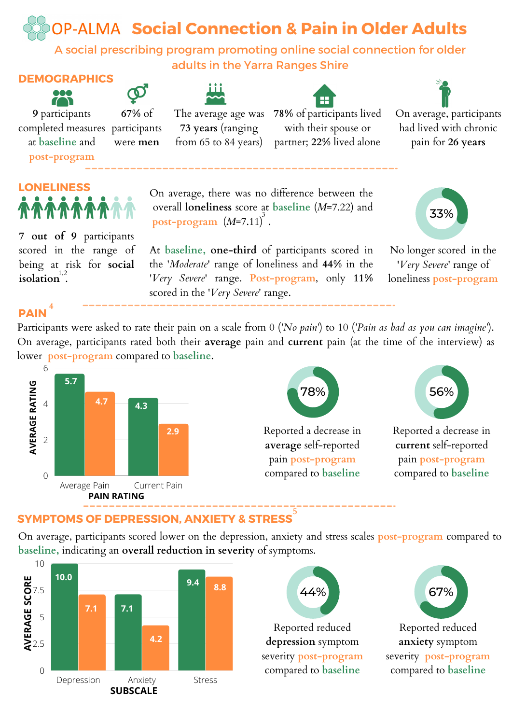**Social Connection & Pain in Older Adults**

A social prescribing program promoting online social connection for older adults in the Yarra Ranges Shire

> On average, there was no difference between the overall **loneliness** score at **baseline** (*M*=7.22) and

# **DEMOGRAPHICS**



**9** participants completed measures participants at **baseline** and **67%** of

were **men**

**post-program**



**7 out of 9** participants scored in the range of being at risk for **social** isolation<sup>1,2</sup>.





The average age was **73 years** (ranging from 65 to 84 years)

**post-program** (*M*=7.11) . 3

scored in the '*Very Severe*' range.

**78%** of participants lived with their spouse or partner; **22%** lived alone

On average, participants had lived with chronic pain for **26 years**

33%

No longer scored in the '*Very Severe*' range of loneliness **post-program** At **baseline, one-third** of participants scored in the '*Moderate*' range of loneliness and **44%** in the '*Very Severe*' range. **Post-program**, only **11%**

### **PAIN 4**

Participants were asked to rate their pain on a scale from 0 (*'No pain'*) to 10 (*'Pain as bad as you can imagine'*). On average, participants rated both their **average** pain and **current** pain (at the time of the interview) as lower **post-program** compared to **baseline**.



#### **SYMPTOMS OF DEPRESSION, ANXIETY & STRESS 5**

On average, participants scored lower on the depression, anxiety and stress scales **post-program** compared to **baseline,** indicating an **overall reduction in severity** of symptoms.





Reported reduced **anxiety** symptom severity **post-program** compared to **baseline**